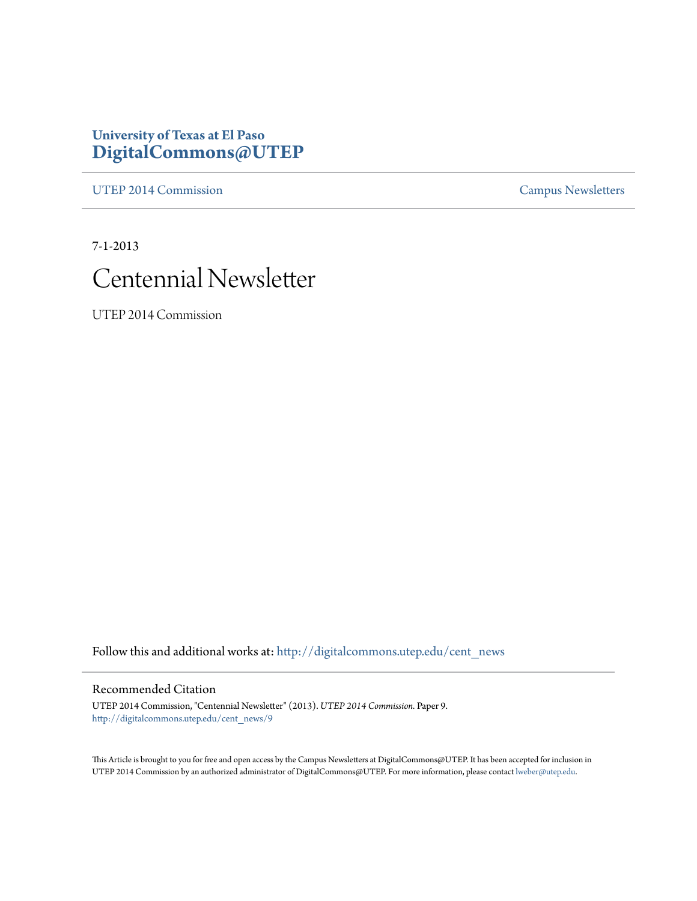#### **University of Texas at El Paso [DigitalCommons@UTEP](http://digitalcommons.utep.edu?utm_source=digitalcommons.utep.edu%2Fcent_news%2F9&utm_medium=PDF&utm_campaign=PDFCoverPages)**

[UTEP 2014 Commission](http://digitalcommons.utep.edu/cent_news?utm_source=digitalcommons.utep.edu%2Fcent_news%2F9&utm_medium=PDF&utm_campaign=PDFCoverPages) [Campus Newsletters](http://digitalcommons.utep.edu/newsletters?utm_source=digitalcommons.utep.edu%2Fcent_news%2F9&utm_medium=PDF&utm_campaign=PDFCoverPages)

7-1-2013



UTEP 2014 Commission

Follow this and additional works at: [http://digitalcommons.utep.edu/cent\\_news](http://digitalcommons.utep.edu/cent_news?utm_source=digitalcommons.utep.edu%2Fcent_news%2F9&utm_medium=PDF&utm_campaign=PDFCoverPages)

#### Recommended Citation

UTEP 2014 Commission, "Centennial Newsletter" (2013). *UTEP 2014 Commission.* Paper 9. [http://digitalcommons.utep.edu/cent\\_news/9](http://digitalcommons.utep.edu/cent_news/9?utm_source=digitalcommons.utep.edu%2Fcent_news%2F9&utm_medium=PDF&utm_campaign=PDFCoverPages)

This Article is brought to you for free and open access by the Campus Newsletters at DigitalCommons@UTEP. It has been accepted for inclusion in UTEP 2014 Commission by an authorized administrator of DigitalCommons@UTEP. For more information, please contact [lweber@utep.edu.](mailto:lweber@utep.edu)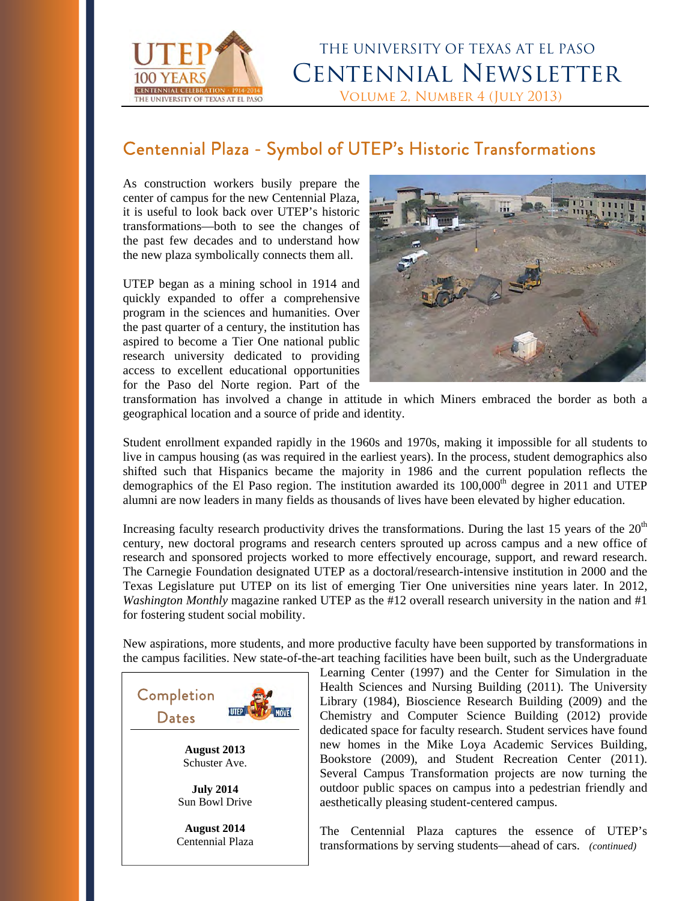

# THE UNIVERSITY OF TEXAS AT EL PASO Centennial Newsletter NIVERSITY OF TEXAS AT EL PASO

#### Centennial Plaza - Symbol of UTEP's Historic Transformations

As construction workers busily prepare the center of campus for the new Centennial Plaza, it is useful to look back over UTEP's historic transformations—both to see the changes of the past few decades and to understand how the new plaza symbolically connects them all.

UTEP began as a mining school in 1914 and quickly expanded to offer a comprehensive program in the sciences and humanities. Over the past quarter of a century, the institution has aspired to become a Tier One national public research university dedicated to providing access to excellent educational opportunities for the Paso del Norte region. Part of the



transformation has involved a change in attitude in which Miners embraced the border as both a geographical location and a source of pride and identity.

Student enrollment expanded rapidly in the 1960s and 1970s, making it impossible for all students to live in campus housing (as was required in the earliest years). In the process, student demographics also shifted such that Hispanics became the majority in 1986 and the current population reflects the demographics of the El Paso region. The institution awarded its  $100,000<sup>th</sup>$  degree in 2011 and UTEP alumni are now leaders in many fields as thousands of lives have been elevated by higher education.

Increasing faculty research productivity drives the transformations. During the last 15 years of the  $20<sup>th</sup>$ century, new doctoral programs and research centers sprouted up across campus and a new office of research and sponsored projects worked to more effectively encourage, support, and reward research. The Carnegie Foundation designated UTEP as a doctoral/research-intensive institution in 2000 and the Texas Legislature put UTEP on its list of emerging Tier One universities nine years later. In 2012, *Washington Monthly* magazine ranked UTEP as the #12 overall research university in the nation and #1 for fostering student social mobility.

New aspirations, more students, and more productive faculty have been supported by transformations in the campus facilities. New state-of-the-art teaching facilities have been built, such as the Undergraduate



Learning Center (1997) and the Center for Simulation in the Health Sciences and Nursing Building (2011). The University Library (1984), Bioscience Research Building (2009) and the Chemistry and Computer Science Building (2012) provide dedicated space for faculty research. Student services have found new homes in the Mike Loya Academic Services Building, Bookstore (2009), and Student Recreation Center (2011). Several Campus Transformation projects are now turning the outdoor public spaces on campus into a pedestrian friendly and aesthetically pleasing student-centered campus.

The Centennial Plaza captures the essence of UTEP's transformations by serving students—ahead of cars. *(continued)*